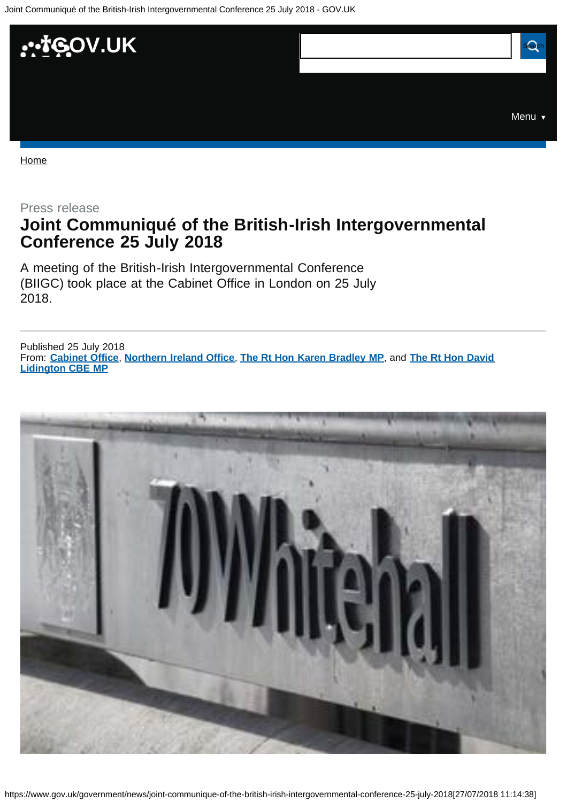<span id="page-0-0"></span>

Home

## Press release **Joint Communiqué of the British-Irish Intergovernmental Conference 25 July 2018**

A meeting of the British-Irish Intergovernmental Conference (BIIGC) took place at the Cabinet Office in London on 25 July 2018.

From: **Cabinet Office**, **Northern Ireland Office**, **The Rt Hon Karen Bradley MP**, and **The Rt Hon David** Published 25 July 2018 **Lidington CBE MP**

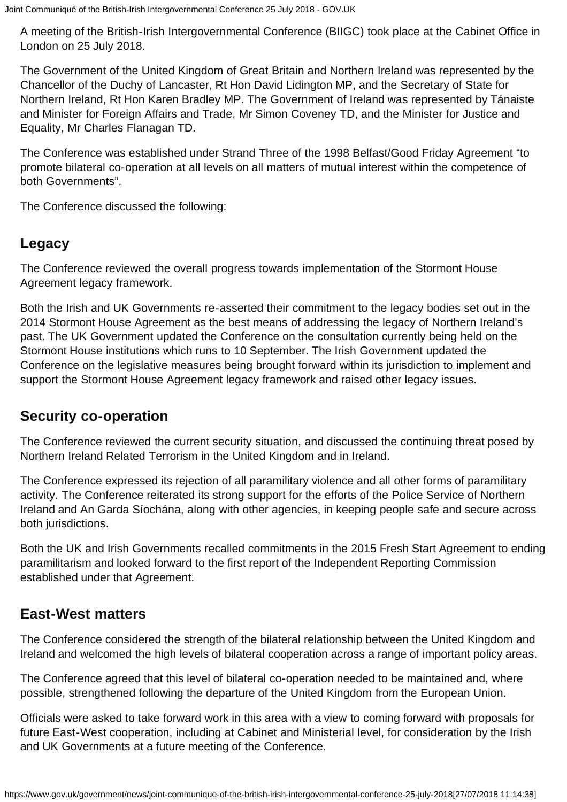A meeting of the British-Irish Intergovernmental Conference (BIIGC) took place at the Cabinet Office in London on 25 July 2018.

The Government of the United Kingdom of Great Britain and Northern Ireland was represented by the Chancellor of the Duchy of Lancaster, Rt Hon David Lidington MP, and the Secretary of State for Northern Ireland, Rt Hon Karen Bradley MP. The Government of Ireland was represented by Tánaiste and Minister for Foreign Affairs and Trade, Mr Simon Coveney TD, and the Minister for Justice and Equality, Mr Charles Flanagan TD.

The Conference was established under Strand Three of the 1998 Belfast/Good Friday Agreement "to promote bilateral co-operation at all levels on all matters of mutual interest within the competence of both Governments".

The Conference discussed the following:

### **Legacy**

The Conference reviewed the overall progress towards implementation of the Stormont House Agreement legacy framework.

Both the Irish and UK Governments re-asserted their commitment to the legacy bodies set out in the 2014 Stormont House Agreement as the best means of addressing the legacy of Northern Ireland's past. The UK Government updated the Conference on the consultation currently being held on the Stormont House institutions which runs to 10 September. The Irish Government updated the Conference on the legislative measures being brought forward within its jurisdiction to implement and support the Stormont House Agreement legacy framework and raised other legacy issues.

#### **Security co-operation**

The Conference reviewed the current security situation, and discussed the continuing threat posed by Northern Ireland Related Terrorism in the United Kingdom and in Ireland.

The Conference expressed its rejection of all paramilitary violence and all other forms of paramilitary activity. The Conference reiterated its strong support for the efforts of the Police Service of Northern Ireland and An Garda Síochána, along with other agencies, in keeping people safe and secure across both jurisdictions.

Both the UK and Irish Governments recalled commitments in the 2015 Fresh Start Agreement to ending paramilitarism and looked forward to the first report of the Independent Reporting Commission established under that Agreement.

### **East-West matters**

The Conference considered the strength of the bilateral relationship between the United Kingdom and Ireland and welcomed the high levels of bilateral cooperation across a range of important policy areas.

The Conference agreed that this level of bilateral co-operation needed to be maintained and, where possible, strengthened following the departure of the United Kingdom from the European Union.

Officials were asked to take forward work in this area with a view to coming forward with proposals for future East-West cooperation, including at Cabinet and Ministerial level, for consideration by the Irish and UK Governments at a future meeting of the Conference.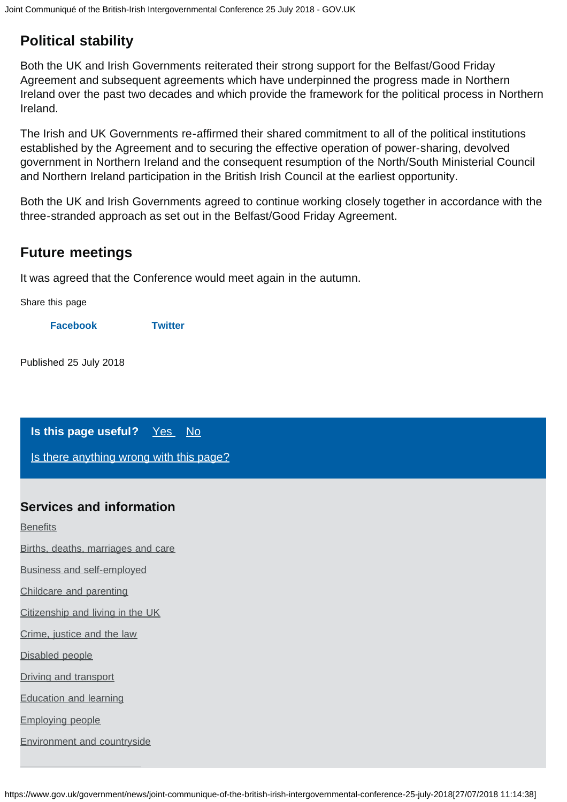# **Political stability**

Both the UK and Irish Governments reiterated their strong support for the Belfast/Good Friday Agreement and subsequent agreements which have underpinned the progress made in Northern Ireland over the past two decades and which provide the framework for the political process in Northern Ireland.

The Irish and UK Governments re-affirmed their shared commitment to all of the political institutions established by the Agreement and to securing the effective operation of power-sharing, devolved government in Northern Ireland and the consequent resumption of the North/South Ministerial Council and Northern Ireland participation in the British Irish Council at the earliest opportunity.

Both the UK and Irish Governments agreed to continue working closely together in accordance with the three-stranded approach as set out in the Belfast/Good Friday Agreement.

## **Future meetings**

It was agreed that the Conference would meet again in the autumn.

Share this page

**Facebook Twitter**

Published 25 July 2018

#### **Is this page useful?** Yes No

Is there anything wrong with this page?

#### **Services and information**

**Benefits** 

Births, deaths, marriages and care

Business and self-employed

Childcare and parenting

Citizenship and living in the UK

Crime, justice and the law

Disabled people

Driving and transport

Education and learning

Employing people

Environment and countryside